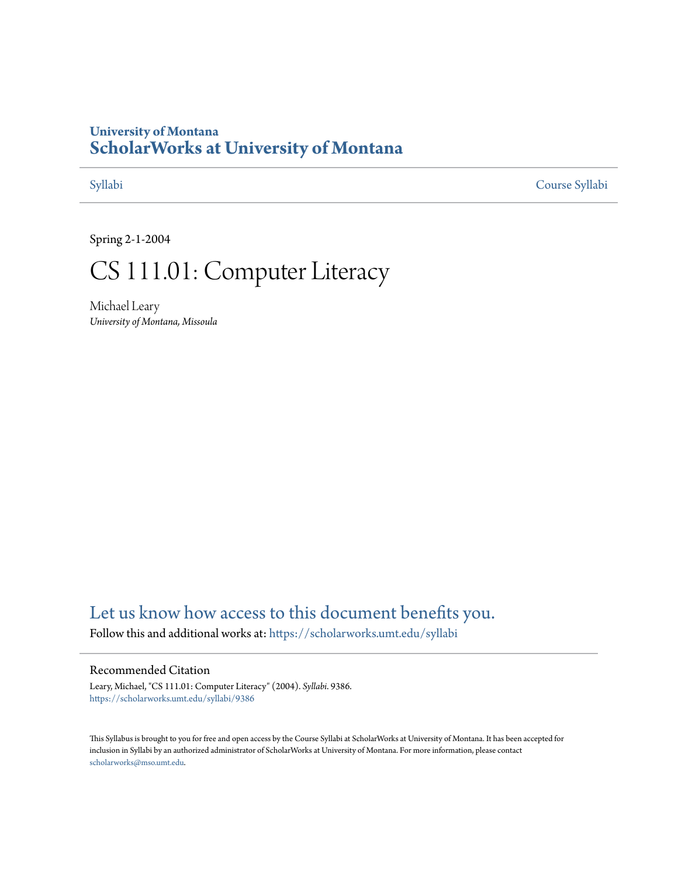### **University of Montana [ScholarWorks at University of Montana](https://scholarworks.umt.edu?utm_source=scholarworks.umt.edu%2Fsyllabi%2F9386&utm_medium=PDF&utm_campaign=PDFCoverPages)**

[Syllabi](https://scholarworks.umt.edu/syllabi?utm_source=scholarworks.umt.edu%2Fsyllabi%2F9386&utm_medium=PDF&utm_campaign=PDFCoverPages) [Course Syllabi](https://scholarworks.umt.edu/course_syllabi?utm_source=scholarworks.umt.edu%2Fsyllabi%2F9386&utm_medium=PDF&utm_campaign=PDFCoverPages)

Spring 2-1-2004

## CS 111.01: Computer Literacy

Michael Leary *University of Montana, Missoula*

### [Let us know how access to this document benefits you.](https://goo.gl/forms/s2rGfXOLzz71qgsB2)

Follow this and additional works at: [https://scholarworks.umt.edu/syllabi](https://scholarworks.umt.edu/syllabi?utm_source=scholarworks.umt.edu%2Fsyllabi%2F9386&utm_medium=PDF&utm_campaign=PDFCoverPages)

### Recommended Citation

Leary, Michael, "CS 111.01: Computer Literacy" (2004). *Syllabi*. 9386. [https://scholarworks.umt.edu/syllabi/9386](https://scholarworks.umt.edu/syllabi/9386?utm_source=scholarworks.umt.edu%2Fsyllabi%2F9386&utm_medium=PDF&utm_campaign=PDFCoverPages)

This Syllabus is brought to you for free and open access by the Course Syllabi at ScholarWorks at University of Montana. It has been accepted for inclusion in Syllabi by an authorized administrator of ScholarWorks at University of Montana. For more information, please contact [scholarworks@mso.umt.edu](mailto:scholarworks@mso.umt.edu).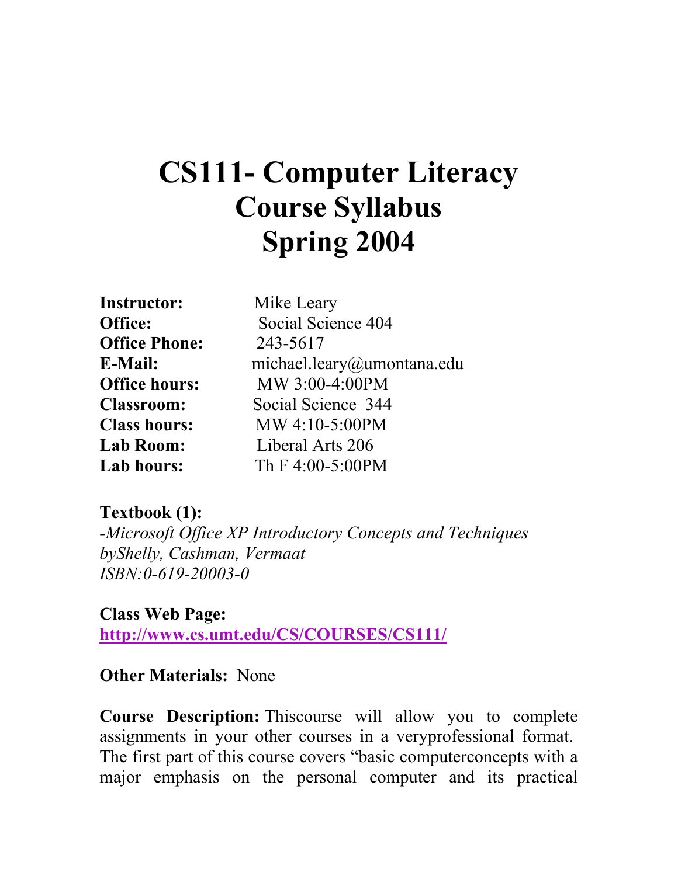# **CS111- Computer Literacy Course Syllabus Spring 2004**

| <b>Instructor:</b>   | Mike Leary                 |
|----------------------|----------------------------|
| Office:              | Social Science 404         |
| <b>Office Phone:</b> | 243-5617                   |
| E-Mail:              | michael.leary@umontana.edu |
| <b>Office hours:</b> | MW 3:00-4:00PM             |
| <b>Classroom:</b>    | Social Science 344         |
| <b>Class hours:</b>  | MW 4:10-5:00PM             |
| <b>Lab Room:</b>     | Liberal Arts 206           |
| Lab hours:           | Th F 4:00-5:00PM           |

### **Textbook (1):**

*-Microsoft Office XP Introductory Concepts and Techniques byShelly, Cashman, Vermaat ISBN:0-619-20003-0*

**Class Web Page: http://www.cs.umt.edu/CS/COURSES/CS111/**

### **Other Materials:** None

**Course Description:** Thiscourse will allow you to complete assignments in your other courses in a veryprofessional format. The first part of this course covers "basic computerconcepts with a major emphasis on the personal computer and its practical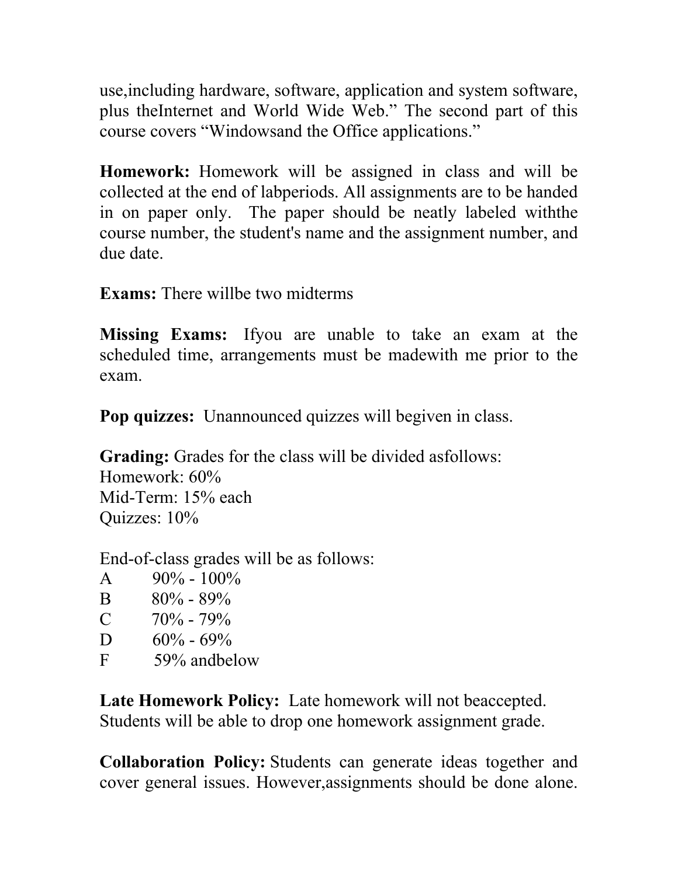use,including hardware, software, application and system software, plus theInternet and World Wide Web." The second part of this course covers "Windowsand the Office applications."

**Homework:** Homework will be assigned in class and will be collected at the end of labperiods. All assignments are to be handed in on paper only. The paper should be neatly labeled withthe course number, the student's name and the assignment number, and due date.

**Exams:** There willbe two midterms

**Missing Exams:** Ifyou are unable to take an exam at the scheduled time, arrangements must be madewith me prior to the exam.

**Pop quizzes:** Unannounced quizzes will begiven in class.

**Grading:** Grades for the class will be divided asfollows: Homework: 60% Mid-Term: 15% each Quizzes: 10%

End-of-class grades will be as follows:

- A  $90\% 100\%$
- B  $80\% 89\%$
- C  $70\%$  79%
- D  $60\% 69\%$
- F 59% andbelow

**Late Homework Policy:** Late homework will not beaccepted. Students will be able to drop one homework assignment grade.

**Collaboration Policy:** Students can generate ideas together and cover general issues. However,assignments should be done alone.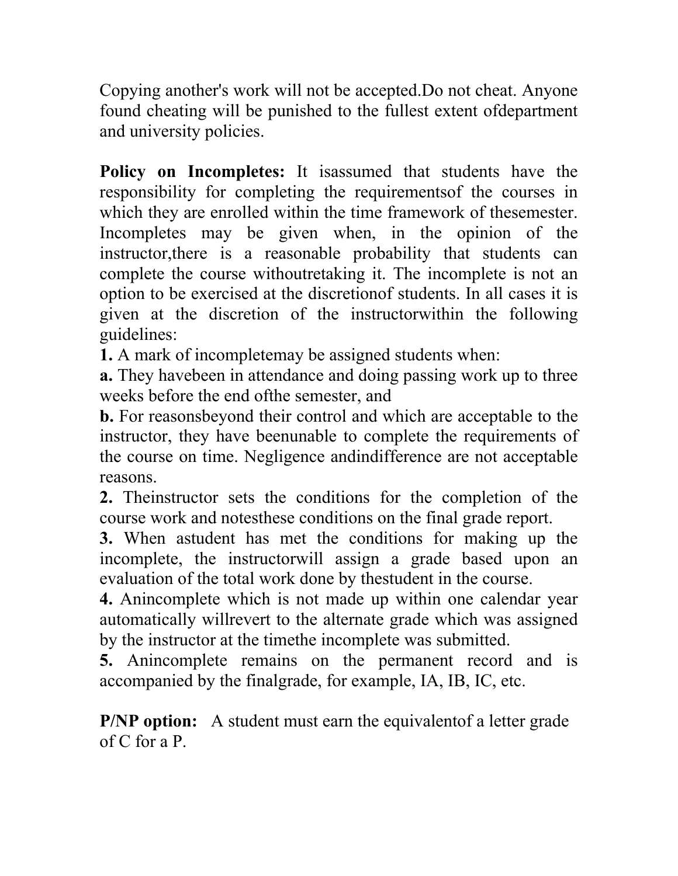Copying another's work will not be accepted.Do not cheat. Anyone found cheating will be punished to the fullest extent ofdepartment and university policies.

**Policy on Incompletes:** It isassumed that students have the responsibility for completing the requirementsof the courses in which they are enrolled within the time framework of thesemester. Incompletes may be given when, in the opinion of the instructor,there is a reasonable probability that students can complete the course withoutretaking it. The incomplete is not an option to be exercised at the discretionof students. In all cases it is given at the discretion of the instructorwithin the following guidelines:

**1.** A mark of incompletemay be assigned students when:

**a.** They havebeen in attendance and doing passing work up to three weeks before the end ofthe semester, and

**b.** For reasonsbeyond their control and which are acceptable to the instructor, they have beenunable to complete the requirements of the course on time. Negligence andindifference are not acceptable reasons.

**2.** Theinstructor sets the conditions for the completion of the course work and notesthese conditions on the final grade report.

**3.** When astudent has met the conditions for making up the incomplete, the instructorwill assign a grade based upon an evaluation of the total work done by thestudent in the course.

**4.** Anincomplete which is not made up within one calendar year automatically willrevert to the alternate grade which was assigned by the instructor at the timethe incomplete was submitted.

**5.** Anincomplete remains on the permanent record and is accompanied by the finalgrade, for example, IA, IB, IC, etc.

**P/NP option:** A student must earn the equivalent of a letter grade of C for a P.